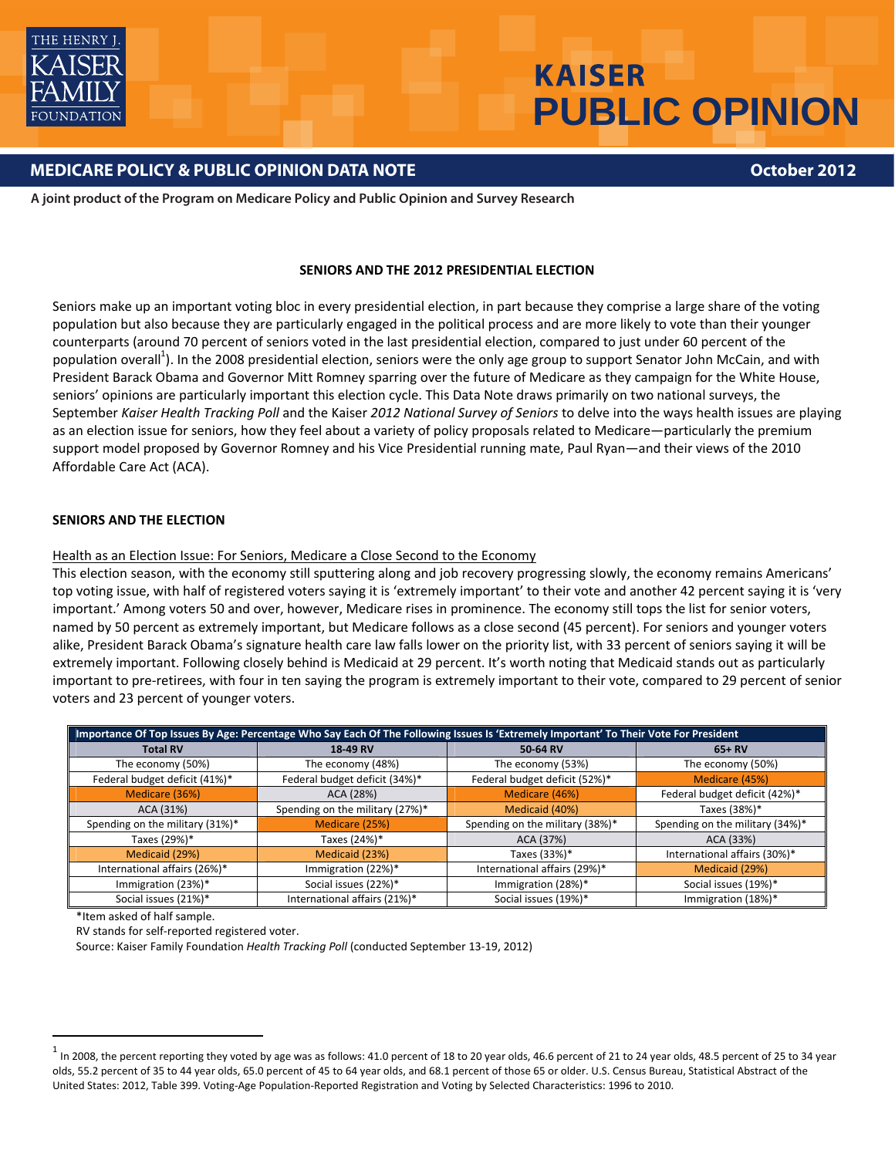

# **KAISER PUBLIC OPINION**

# **MEDICARE POLICY & PUBLIC OPINION DATA NOTE**

**October 2012**

**A joint product of the Program on Medicare Policy and Public Opinion and Survey Research**

#### **SENIORS AND THE 2012 PRESIDENTIAL ELECTION**

Seniors make up an important voting bloc in every presidential election, in part because they comprise a large share of the voting population but also because they are particularly engaged in the political process and are more likely to vote than their younger counterparts (around 70 percent of seniors voted in the last presidential election, compared to just under 60 percent of the population overall<sup>1</sup>). In the 2008 presidential election, seniors were the only age group to support Senator John McCain, and with President Barack Obama and Governor Mitt Romney sparring over the future of Medicare as they campaign for the White House, seniors' opinions are particularly important this election cycle. This Data Note draws primarily on two national surveys, the September *Kaiser Health Tracking Poll* and the Kaiser *2012 National Survey of Seniors* to delve into the ways health issues are playing as an election issue for seniors, how they feel about a variety of policy proposals related to Medicare—particularly the premium support model proposed by Governor Romney and his Vice Presidential running mate, Paul Ryan—and their views of the 2010 Affordable Care Act (ACA).

#### **SENIORS AND THE ELECTION**

#### Health as an Election Issue: For Seniors, Medicare a Close Second to the Economy

This election season, with the economy still sputtering along and job recovery progressing slowly, the economy remains Americans' top voting issue, with half of registered voters saying it is 'extremely important' to their vote and another 42 percent saying it is 'very important.' Among voters 50 and over, however, Medicare rises in prominence. The economy still tops the list for senior voters, named by 50 percent as extremely important, but Medicare follows as a close second (45 percent). For seniors and younger voters alike, President Barack Obama's signature health care law falls lower on the priority list, with 33 percent of seniors saying it will be extremely important. Following closely behind is Medicaid at 29 percent. It's worth noting that Medicaid stands out as particularly important to pre‐retirees, with four in ten saying the program is extremely important to their vote, compared to 29 percent of senior voters and 23 percent of younger voters.

| Importance Of Top Issues By Age: Percentage Who Say Each Of The Following Issues Is 'Extremely Important' To Their Vote For President |                                 |                                 |                                 |  |  |  |
|---------------------------------------------------------------------------------------------------------------------------------------|---------------------------------|---------------------------------|---------------------------------|--|--|--|
| <b>Total RV</b>                                                                                                                       | 18-49 RV                        | 50-64 RV                        | $65+RV$                         |  |  |  |
| The economy (50%)                                                                                                                     | The economy (48%)               | The economy (53%)               | The economy (50%)               |  |  |  |
| Federal budget deficit (41%)*                                                                                                         | Federal budget deficit (34%)*   | Federal budget deficit (52%)*   | Medicare (45%)                  |  |  |  |
| Medicare (36%)                                                                                                                        | ACA (28%)                       | Medicare (46%)                  | Federal budget deficit (42%)*   |  |  |  |
| ACA (31%)                                                                                                                             | Spending on the military (27%)* | Medicaid (40%)                  | Taxes (38%)*                    |  |  |  |
| Spending on the military (31%)*                                                                                                       | Medicare (25%)                  | Spending on the military (38%)* | Spending on the military (34%)* |  |  |  |
| Taxes (29%)*                                                                                                                          | Taxes (24%)*                    | ACA (37%)                       | ACA (33%)                       |  |  |  |
| Medicaid (29%)                                                                                                                        | Medicaid (23%)                  | Taxes (33%)*                    | International affairs (30%)*    |  |  |  |
| International affairs (26%)*                                                                                                          | Immigration (22%)*              | International affairs (29%)*    | Medicaid (29%)                  |  |  |  |
| Immigration (23%)*                                                                                                                    | Social issues (22%)*            | Immigration (28%)*              | Social issues (19%)*            |  |  |  |
| Social issues (21%)*                                                                                                                  | International affairs (21%)*    | Social issues (19%)*            | Immigration (18%)*              |  |  |  |

\*Item asked of half sample.

RV stands for self-reported registered voter.

Source: Kaiser Family Foundation *Health Tracking Poll* (conducted September 13‐19, 2012)

 $1$  In 2008, the percent reporting they voted by age was as follows: 41.0 percent of 18 to 20 year olds, 46.6 percent of 21 to 24 year olds, 48.5 percent of 25 to 34 year olds, 55.2 percent of 35 to 44 year olds, 65.0 percent of 45 to 64 year olds, and 68.1 percent of those 65 or older. U.S. Census Bureau, Statistical Abstract of the United States: 2012, Table 399. Voting‐Age Population‐Reported Registration and Voting by Selected Characteristics: 1996 to 2010.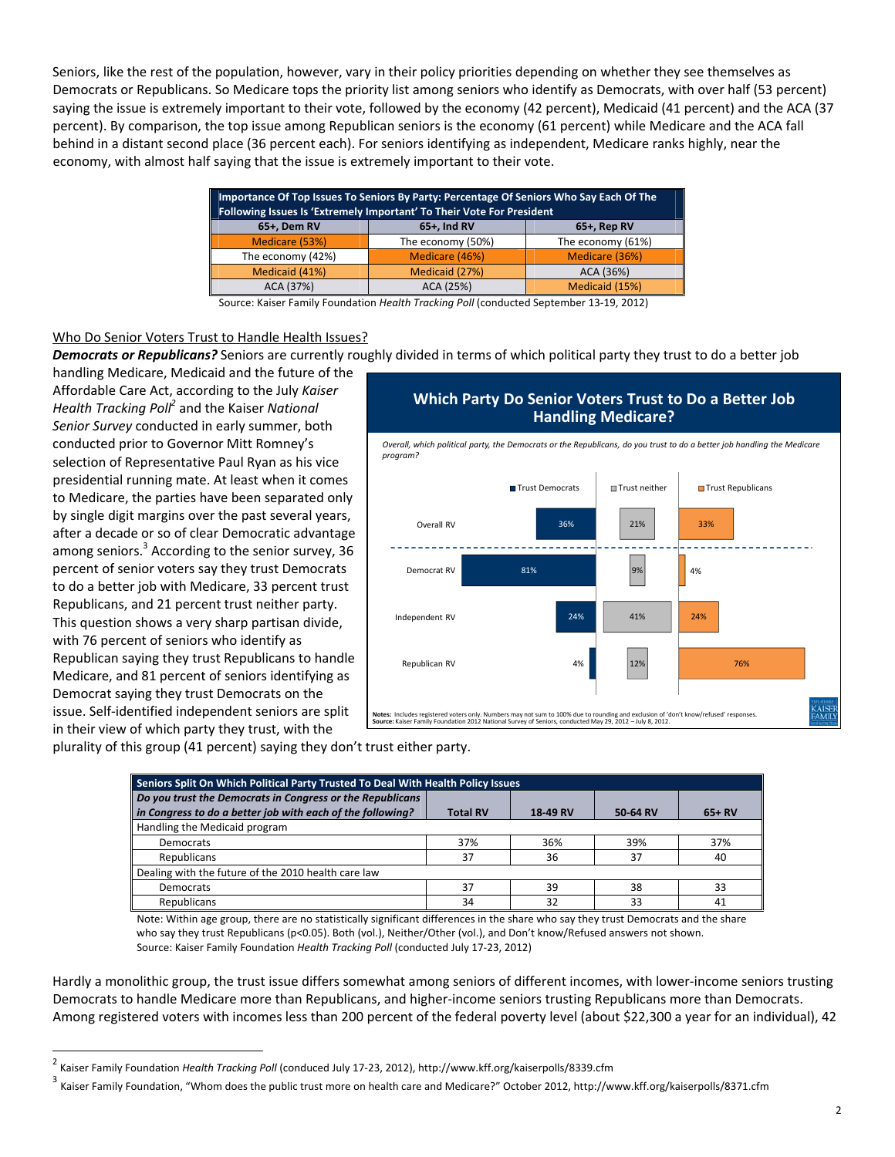Seniors, like the rest of the population, however, vary in their policy priorities depending on whether they see themselves as Democrats or Republicans. So Medicare tops the priority list among seniors who identify as Democrats, with over half (53 percent) saying the issue is extremely important to their vote, followed by the economy (42 percent), Medicaid (41 percent) and the ACA (37 percent). By comparison, the top issue among Republican seniors is the economy (61 percent) while Medicare and the ACA fall behind in a distant second place (36 percent each). For seniors identifying as independent, Medicare ranks highly, near the economy, with almost half saying that the issue is extremely important to their vote.

| Importance Of Top Issues To Seniors By Party: Percentage Of Seniors Who Say Each Of The<br>Following Issues Is 'Extremely Important' To Their Vote For President |                                  |                   |  |  |  |  |
|------------------------------------------------------------------------------------------------------------------------------------------------------------------|----------------------------------|-------------------|--|--|--|--|
| 65+, Dem RV                                                                                                                                                      | $65+$ , Ind RV<br>$65+$ , Rep RV |                   |  |  |  |  |
| Medicare (53%)                                                                                                                                                   | The economy (50%)                | The economy (61%) |  |  |  |  |
| The economy (42%)                                                                                                                                                | Medicare (46%)                   | Medicare (36%)    |  |  |  |  |
| Medicaid (41%)                                                                                                                                                   | Medicaid (27%)                   | ACA (36%)         |  |  |  |  |
| ACA (37%)                                                                                                                                                        | ACA (25%)                        | Medicaid (15%)    |  |  |  |  |

Source: Kaiser Family Foundation *Health Tracking Poll* (conducted September 13‐19, 2012)

#### Who Do Senior Voters Trust to Handle Health Issues?

*Democrats or Republicans?* Seniors are currently roughly divided in terms of which political party they trust to do a better job

handling Medicare, Medicaid and the future of the Affordable Care Act, according to the July *Kaiser Health Tracking Poll2* and the Kaiser *National Senior Survey* conducted in early summer, both conducted prior to Governor Mitt Romney's selection of Representative Paul Ryan as his vice presidential running mate. At least when it comes to Medicare, the parties have been separated only by single digit margins over the past several years, after a decade or so of clear Democratic advantage among seniors.<sup>3</sup> According to the senior survey, 36 percent of senior voters say they trust Democrats to do a better job with Medicare, 33 percent trust Republicans, and 21 percent trust neither party. This question shows a very sharp partisan divide, with 76 percent of seniors who identify as Republican saying they trust Republicans to handle Medicare, and 81 percent of seniors identifying as Democrat saying they trust Democrats on the issue. Self‐identified independent seniors are split in their view of which party they trust, with the

# **Which Party Do Senior Voters Trust to Do a Better Job Handling Medicare?**  Overall, which political party, the Democrats or the Republicans, do you trust to do a better job handling the Medicare



plurality of this group (41 percent) saying they don't trust either party.

| Seniors Split On Which Political Party Trusted To Deal With Health Policy Issues |                 |          |          |         |  |  |  |  |
|----------------------------------------------------------------------------------|-----------------|----------|----------|---------|--|--|--|--|
| Do you trust the Democrats in Congress or the Republicans                        |                 |          |          |         |  |  |  |  |
| in Congress to do a better job with each of the following?                       | <b>Total RV</b> | 18-49 RV | 50-64 RV | $65+RV$ |  |  |  |  |
| Handling the Medicaid program                                                    |                 |          |          |         |  |  |  |  |
| Democrats                                                                        | 37%             | 36%      | 39%      | 37%     |  |  |  |  |
| Republicans                                                                      | 37              | 36       | 37       | 40      |  |  |  |  |
| Dealing with the future of the 2010 health care law                              |                 |          |          |         |  |  |  |  |
| <b>Democrats</b>                                                                 | 37              | 39       | 38       | 33      |  |  |  |  |
| Republicans                                                                      | 34              | 32       | 33       | 41      |  |  |  |  |

Note: Within age group, there are no statistically significant differences in the share who say they trust Democrats and the share who say they trust Republicans (p<0.05). Both (vol.), Neither/Other (vol.), and Don't know/Refused answers not shown. Source: Kaiser Family Foundation *Health Tracking Poll* (conducted July 17‐23, 2012)

Hardly a monolithic group, the trust issue differs somewhat among seniors of different incomes, with lower-income seniors trusting Democrats to handle Medicare more than Republicans, and higher‐income seniors trusting Republicans more than Democrats. Among registered voters with incomes less than 200 percent of the federal poverty level (about \$22,300 a year for an individual), 42

 <sup>2</sup> Kaiser Family Foundation *Health Tracking Poll* (conduced July <sup>17</sup>‐23, 2012), http://www.kff.org/kaiserpolls/8339.cfm

<sup>3</sup> Kaiser Family Foundation, "Whom does the public trust more on health care and Medicare?" October 2012, http://www.kff.org/kaiserpolls/8371.cfm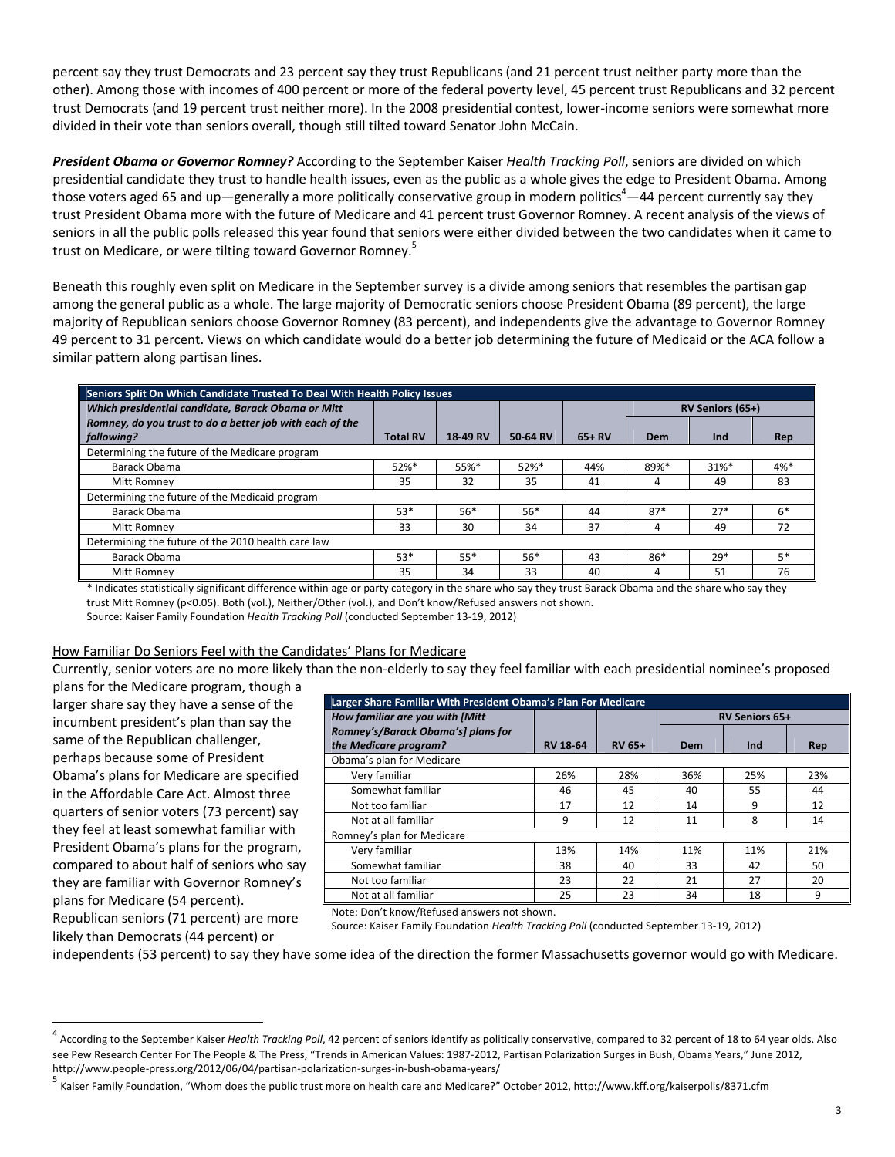percent say they trust Democrats and 23 percent say they trust Republicans (and 21 percent trust neither party more than the other). Among those with incomes of 400 percent or more of the federal poverty level, 45 percent trust Republicans and 32 percent trust Democrats (and 19 percent trust neither more). In the 2008 presidential contest, lower‐income seniors were somewhat more divided in their vote than seniors overall, though still tilted toward Senator John McCain.

*President Obama or Governor Romney?* According to the September Kaiser *Health Tracking Poll*, seniors are divided on which presidential candidate they trust to handle health issues, even as the public as a whole gives the edge to President Obama. Among those voters aged 65 and up—generally a more politically conservative group in modern politics $^4-$ 44 percent currently say they trust President Obama more with the future of Medicare and 41 percent trust Governor Romney. A recent analysis of the views of seniors in all the public polls released this year found that seniors were either divided between the two candidates when it came to trust on Medicare, or were tilting toward Governor Romney.<sup>5</sup>

Beneath this roughly even split on Medicare in the September survey is a divide among seniors that resembles the partisan gap among the general public as a whole. The large majority of Democratic seniors choose President Obama (89 percent), the large majority of Republican seniors choose Governor Romney (83 percent), and independents give the advantage to Governor Romney 49 percent to 31 percent. Views on which candidate would do a better job determining the future of Medicaid or the ACA follow a similar pattern along partisan lines.

| Seniors Split On Which Candidate Trusted To Deal With Health Policy Issues |                 |          |          |         |                  |       |        |  |
|----------------------------------------------------------------------------|-----------------|----------|----------|---------|------------------|-------|--------|--|
| Which presidential candidate, Barack Obama or Mitt                         |                 |          |          |         | RV Seniors (65+) |       |        |  |
| Romney, do you trust to do a better job with each of the                   |                 |          |          |         |                  |       |        |  |
| following?                                                                 | <b>Total RV</b> | 18-49 RV | 50-64 RV | $65+RV$ | Dem              | Ind   | Rep    |  |
| Determining the future of the Medicare program                             |                 |          |          |         |                  |       |        |  |
| Barack Obama                                                               | $52%$ *         | 55%*     | 52%*     | 44%     | 89%*             | 31%*  | $4%$ * |  |
| Mitt Romney                                                                | 35              | 32       | 35       | 41      | 4                | 49    | 83     |  |
| Determining the future of the Medicaid program                             |                 |          |          |         |                  |       |        |  |
| Barack Obama                                                               | $53*$           | $56*$    | $56*$    | 44      | $87*$            | $27*$ | $6*$   |  |
| Mitt Romney                                                                | 33              | 30       | 34       | 37      | 4                | 49    | 72     |  |
| Determining the future of the 2010 health care law                         |                 |          |          |         |                  |       |        |  |
| Barack Obama                                                               | $53*$           | $55*$    | $56*$    | 43      | 86*              | $29*$ | 5*     |  |
| Mitt Romney                                                                | 35              | 34       | 33       | 40      | 4                | 51    | 76     |  |

\* Indicates statistically significant difference within age or party category in the share who say they trust Barack Obama and the share who say they trust Mitt Romney (p<0.05). Both (vol.), Neither/Other (vol.), and Don't know/Refused answers not shown. Source: Kaiser Family Foundation *Health Tracking Poll* (conducted September 13‐19, 2012)

#### How Familiar Do Seniors Feel with the Candidates' Plans for Medicare

Currently, senior voters are no more likely than the non‐elderly to say they feel familiar with each presidential nominee's proposed

plans for the Medicare program, though a larger share say they have a sense of the incumbent president's plan than say the same of the Republican challenger, perhaps because some of President Obama's plans for Medicare are specified in the Affordable Care Act. Almost three quarters of senior voters (73 percent) say they feel at least somewhat familiar with President Obama's plans for the program, compared to about half of seniors who say they are familiar with Governor Romney's plans for Medicare (54 percent). Republican seniors (71 percent) are more likely than Democrats (44 percent) or

| Larger Share Familiar With President Obama's Plan For Medicare |                 |               |                       |     |     |  |  |  |
|----------------------------------------------------------------|-----------------|---------------|-----------------------|-----|-----|--|--|--|
| How familiar are you with [Mitt                                |                 |               | <b>RV Seniors 65+</b> |     |     |  |  |  |
| Romney's/Barack Obama's] plans for                             |                 |               |                       |     |     |  |  |  |
| the Medicare program?                                          | <b>RV 18-64</b> | <b>RV 65+</b> | Dem                   | Ind | Rep |  |  |  |
| Obama's plan for Medicare                                      |                 |               |                       |     |     |  |  |  |
| Very familiar                                                  | 26%             | 28%           | 36%                   | 25% | 23% |  |  |  |
| Somewhat familiar                                              | 46              | 45            | 40                    | 55  | 44  |  |  |  |
| Not too familiar                                               | 17              | 12            | 14                    | 9   | 12  |  |  |  |
| Not at all familiar                                            | 9               | 12            | 11                    | 8   | 14  |  |  |  |
| Romney's plan for Medicare                                     |                 |               |                       |     |     |  |  |  |
| Very familiar                                                  | 13%             | 14%           | 11%                   | 11% | 21% |  |  |  |
| Somewhat familiar                                              | 38              | 40            | 33                    | 42  | 50  |  |  |  |
| Not too familiar                                               | 23              | 22            | 21                    | 27  | 20  |  |  |  |
| Not at all familiar                                            | 25              | 23            | 34                    | 18  | 9   |  |  |  |

Note: Don't know/Refused answers not shown.

Source: Kaiser Family Foundation *Health Tracking Poll* (conducted September 13‐19, 2012)

independents (53 percent) to say they have some idea of the direction the former Massachusetts governor would go with Medicare.

 <sup>4</sup> According to the September Kaiser *Health Tracking Poll*, <sup>42</sup> percent of seniors identify as politically conservative, compared to <sup>32</sup> percent of <sup>18</sup> to <sup>64</sup> year olds. Also see Pew Research Center For The People & The Press, "Trends in American Values: 1987‐2012, Partisan Polarization Surges in Bush, Obama Years," June 2012, http://www.people-press.org/2012/06/04/partisan-polarization-surges-in-bush-obama-years/<br><sup>5</sup> Kaiser Family Foundation, "Whom does the public trust more on health care and Medicare?" October 2012, http://www.kff.org/kaiserp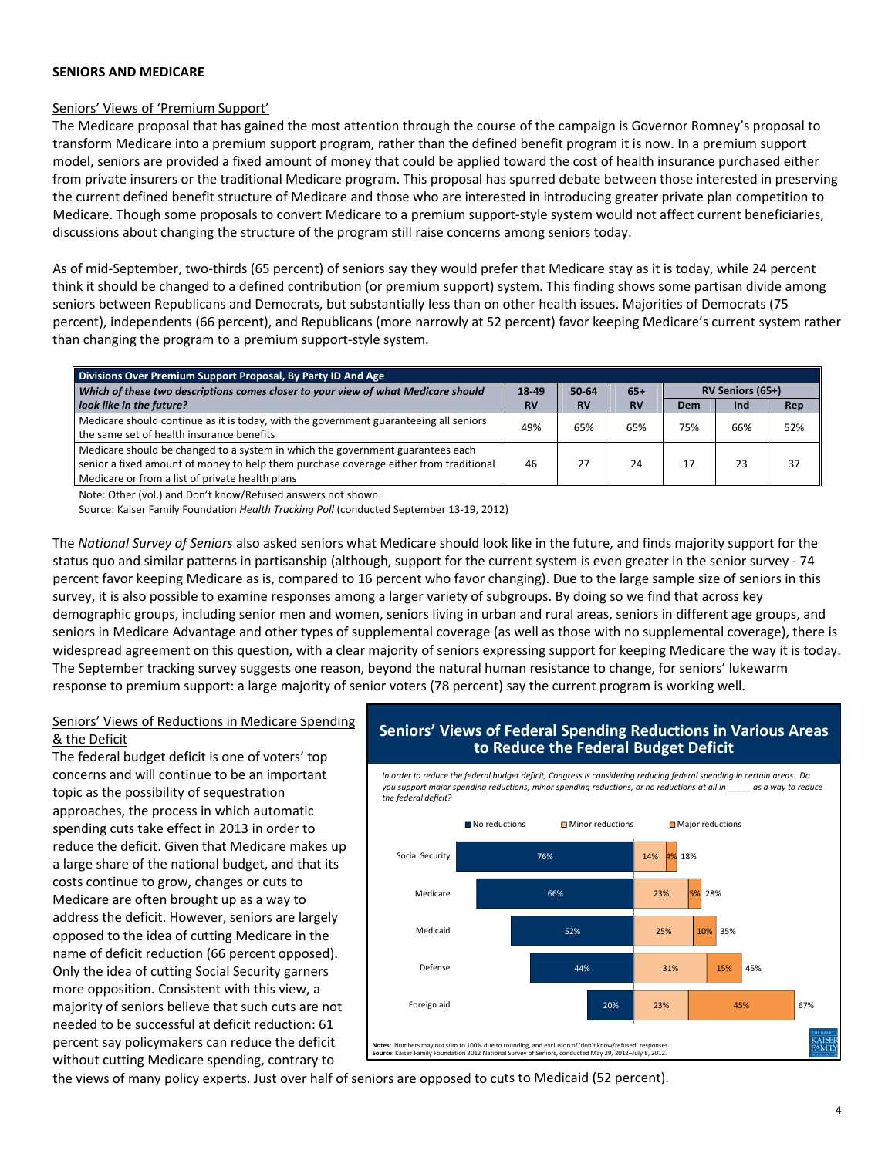#### **SENIORS AND MEDICARE**

#### Seniors' Views of 'Premium Support'

The Medicare proposal that has gained the most attention through the course of the campaign is Governor Romney's proposal to transform Medicare into a premium support program, rather than the defined benefit program it is now. In a premium support model, seniors are provided a fixed amount of money that could be applied toward the cost of health insurance purchased either from private insurers or the traditional Medicare program. This proposal has spurred debate between those interested in preserving the current defined benefit structure of Medicare and those who are interested in introducing greater private plan competition to Medicare. Though some proposals to convert Medicare to a premium support‐style system would not affect current beneficiaries, discussions about changing the structure of the program still raise concerns among seniors today.

As of mid‐September, two‐thirds (65 percent) of seniors say they would prefer that Medicare stay as it is today, while 24 percent think it should be changed to a defined contribution (or premium support) system. This finding shows some partisan divide among seniors between Republicans and Democrats, but substantially less than on other health issues. Majorities of Democrats (75 percent), independents (66 percent), and Republicans (more narrowly at 52 percent) favor keeping Medicare's current system rather than changing the program to a premium support‐style system.

| Divisions Over Premium Support Proposal, By Party ID And Age                                                                                                                                                               |           |           |           |     |                  |     |
|----------------------------------------------------------------------------------------------------------------------------------------------------------------------------------------------------------------------------|-----------|-----------|-----------|-----|------------------|-----|
| Which of these two descriptions comes closer to your view of what Medicare should                                                                                                                                          |           | 50-64     | $65+$     |     | RV Seniors (65+) |     |
| look like in the future?                                                                                                                                                                                                   | <b>RV</b> | <b>RV</b> | <b>RV</b> | Dem | Ind              | Rep |
| Medicare should continue as it is today, with the government guaranteeing all seniors<br>the same set of health insurance benefits                                                                                         | 49%       | 65%       | 65%       | 75% | 66%              | 52% |
| Medicare should be changed to a system in which the government guarantees each<br>senior a fixed amount of money to help them purchase coverage either from traditional<br>Medicare or from a list of private health plans | 46        |           | 24        |     |                  | 37  |

Note: Other (vol.) and Don't know/Refused answers not shown.

Source: Kaiser Family Foundation *Health Tracking Poll* (conducted September 13‐19, 2012)

The *National Survey of Seniors* also asked seniors what Medicare should look like in the future, and finds majority support for the status quo and similar patterns in partisanship (although, support for the current system is even greater in the senior survey ‐ 74 percent favor keeping Medicare as is, compared to 16 percent who favor changing). Due to the large sample size of seniors in this survey, it is also possible to examine responses among a larger variety of subgroups. By doing so we find that across key demographic groups, including senior men and women, seniors living in urban and rural areas, seniors in different age groups, and seniors in Medicare Advantage and other types of supplemental coverage (as well as those with no supplemental coverage), there is widespread agreement on this question, with a clear majority of seniors expressing support for keeping Medicare the way it is today. The September tracking survey suggests one reason, beyond the natural human resistance to change, for seniors' lukewarm response to premium support: a large majority of senior voters (78 percent) say the current program is working well.

## Seniors' Views of Reductions in Medicare Spending & the Deficit

The federal budget deficit is one of voters' top concerns and will continue to be an important topic as the possibility of sequestration approaches, the process in which automatic spending cuts take effect in 2013 in order to reduce the deficit. Given that Medicare makes up a large share of the national budget, and that its costs continue to grow, changes or cuts to Medicare are often brought up as a way to address the deficit. However, seniors are largely opposed to the idea of cutting Medicare in the name of deficit reduction (66 percent opposed). Only the idea of cutting Social Security garners more opposition. Consistent with this view, a majority of seniors believe that such cuts are not needed to be successful at deficit reduction: 61 percent say policymakers can reduce the deficit without cutting Medicare spending, contrary to

## **Seniors' Views of Federal Spending Reductions in Various Areas to Reduce the Federal Budget Deficit**

In order to reduce the federal budget deficit, Congress is considering reducing federal spending in certain areas. Do you support major spending reductions, minor spending reductions, or no reductions at all in \_\_\_\_\_ as a way to reduce *the federal deficit?*



the views of many policy experts. Just over half of seniors are opposed to cuts to Medicaid (52 percent).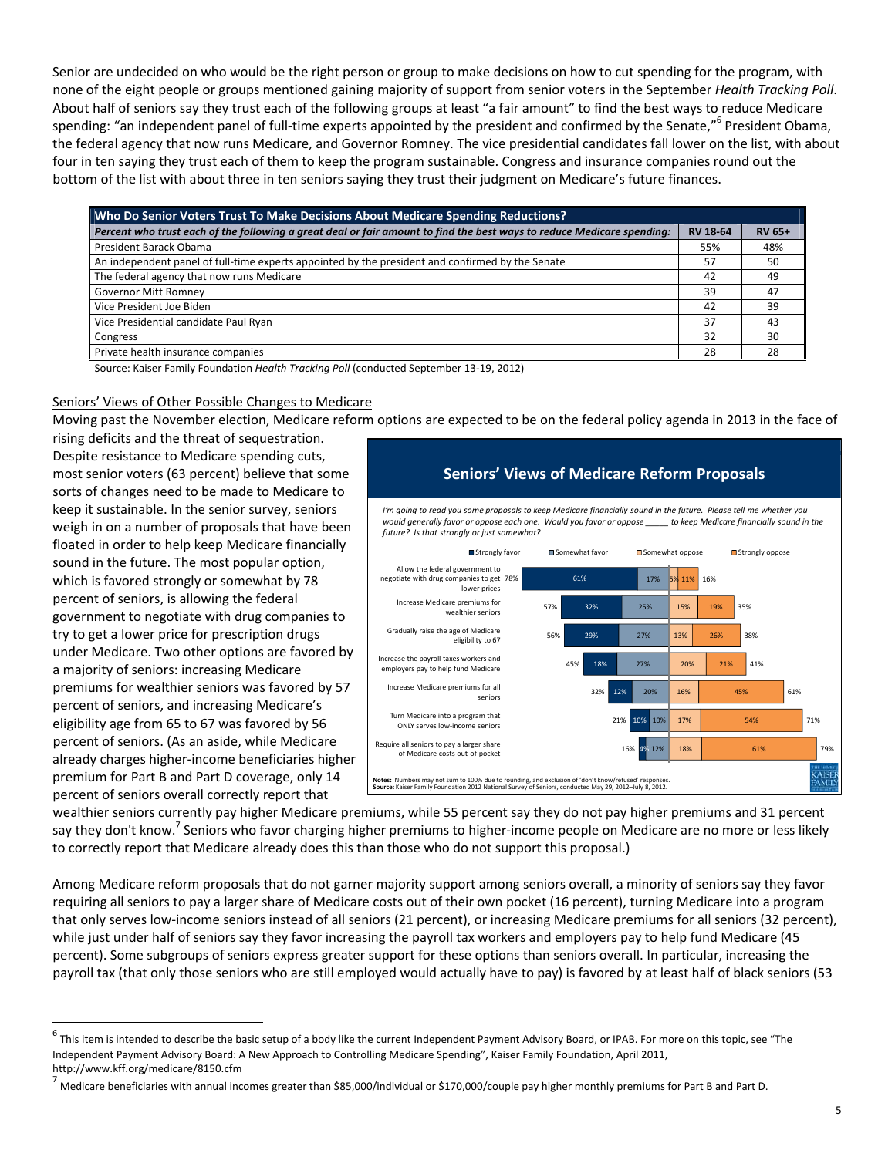Senior are undecided on who would be the right person or group to make decisions on how to cut spending for the program, with none of the eight people or groups mentioned gaining majority of support from senior voters in the September *Health Tracking Poll*. About half of seniors say they trust each of the following groups at least "a fair amount" to find the best ways to reduce Medicare spending: "an independent panel of full-time experts appointed by the president and confirmed by the Senate,"<sup>6</sup> President Obama, the federal agency that now runs Medicare, and Governor Romney. The vice presidential candidates fall lower on the list, with about four in ten saying they trust each of them to keep the program sustainable. Congress and insurance companies round out the bottom of the list with about three in ten seniors saying they trust their judgment on Medicare's future finances.

| Who Do Senior Voters Trust To Make Decisions About Medicare Spending Reductions?                                       |                 |          |  |  |  |
|------------------------------------------------------------------------------------------------------------------------|-----------------|----------|--|--|--|
| Percent who trust each of the following a great deal or fair amount to find the best ways to reduce Medicare spending: | <b>RV 18-64</b> | $RV 65+$ |  |  |  |
| President Barack Obama                                                                                                 | 55%             | 48%      |  |  |  |
| An independent panel of full-time experts appointed by the president and confirmed by the Senate                       | 57              | 50       |  |  |  |
| The federal agency that now runs Medicare                                                                              | 42              | 49       |  |  |  |
| <b>Governor Mitt Romney</b>                                                                                            | 39              | 47       |  |  |  |
| Vice President Joe Biden                                                                                               | 42              | 39       |  |  |  |
| Vice Presidential candidate Paul Ryan                                                                                  | 37              | 43       |  |  |  |
| Congress                                                                                                               | 32              | 30       |  |  |  |
| Private health insurance companies                                                                                     | 28              | 28       |  |  |  |

Source: Kaiser Family Foundation *Health Tracking Poll* (conducted September 13‐19, 2012)

#### Seniors' Views of Other Possible Changes to Medicare

Moving past the November election, Medicare reform options are expected to be on the federal policy agenda in 2013 in the face of

rising deficits and the threat of sequestration. Despite resistance to Medicare spending cuts, most senior voters (63 percent) believe that some sorts of changes need to be made to Medicare to keep it sustainable. In the senior survey, seniors weigh in on a number of proposals that have been floated in order to help keep Medicare financially sound in the future. The most popular option, which is favored strongly or somewhat by 78 percent of seniors, is allowing the federal government to negotiate with drug companies to try to get a lower price for prescription drugs under Medicare. Two other options are favored by a majority of seniors: increasing Medicare premiums for wealthier seniors was favored by 57 percent of seniors, and increasing Medicare's eligibility age from 65 to 67 was favored by 56 percent of seniors. (As an aside, while Medicare already charges higher‐income beneficiaries higher premium for Part B and Part D coverage, only 14 percent of seniors overall correctly report that



wealthier seniors currently pay higher Medicare premiums, while 55 percent say they do not pay higher premiums and 31 percent say they don't know. Seniors who favor charging higher premiums to higher-income people on Medicare are no more or less likely to correctly report that Medicare already does this than those who do not support this proposal.)

Among Medicare reform proposals that do not garner majority support among seniors overall, a minority of seniors say they favor requiring all seniors to pay a larger share of Medicare costs out of their own pocket (16 percent), turning Medicare into a program that only serves low‐income seniors instead of all seniors (21 percent), or increasing Medicare premiums for all seniors (32 percent), while just under half of seniors say they favor increasing the payroll tax workers and employers pay to help fund Medicare (45 percent). Some subgroups of seniors express greater support for these options than seniors overall. In particular, increasing the payroll tax (that only those seniors who are still employed would actually have to pay) is favored by at least half of black seniors (53

 $^6$  This item is intended to describe the basic setup of a body like the current Independent Payment Advisory Board, or IPAB. For more on this topic, see "The Independent Payment Advisory Board: A New Approach to Controlling Medicare Spending", Kaiser Family Foundation, April 2011,

http://www.kff.org/medicare/8150.cfm<br><sup>7</sup> Medicare beneficiaries with annual incomes greater than \$85,000/individual or \$170,000/couple pay higher monthly premiums for Part B and Part D.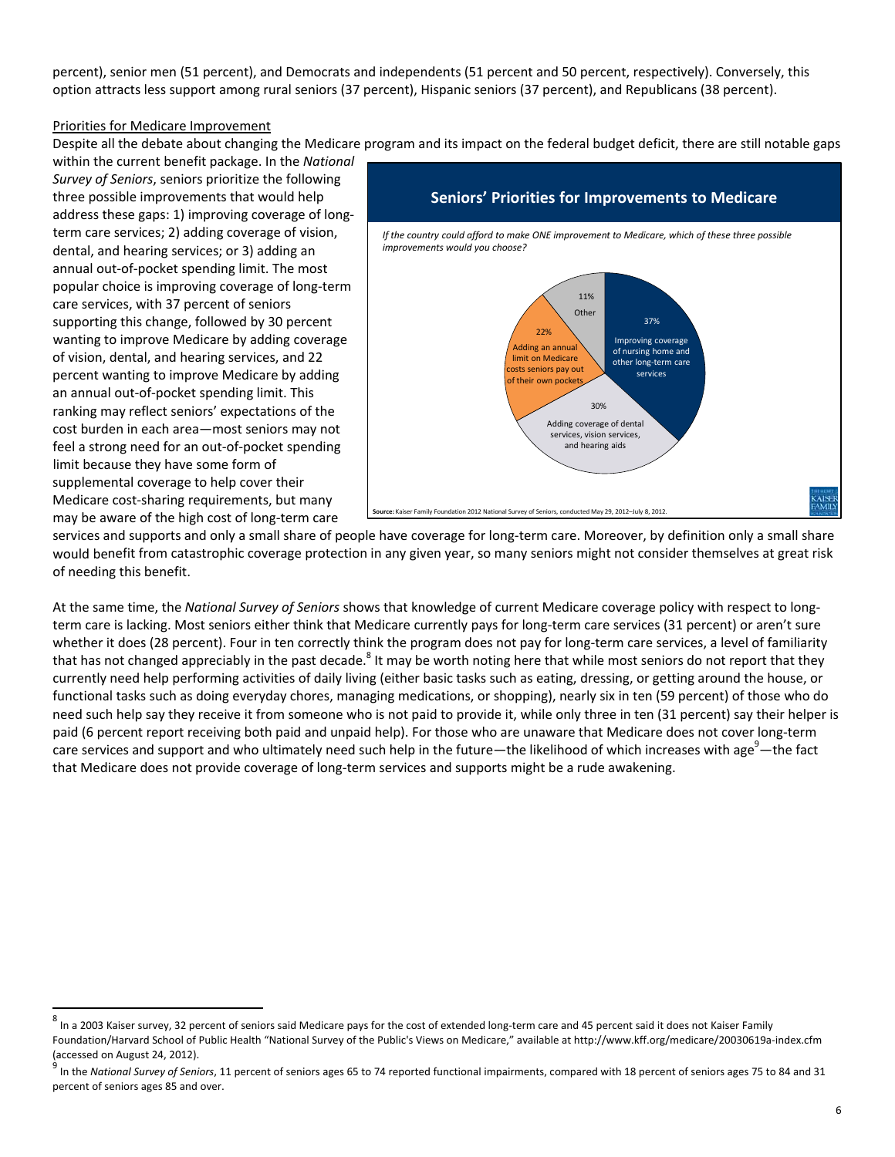percent), senior men (51 percent), and Democrats and independents (51 percent and 50 percent, respectively). Conversely, this option attracts less support among rural seniors (37 percent), Hispanic seniors (37 percent), and Republicans (38 percent).

#### Priorities for Medicare Improvement

Despite all the debate about changing the Medicare program and its impact on the federal budget deficit, there are still notable gaps

within the current benefit package. In the *National Survey of Seniors*, seniors prioritize the following three possible improvements that would help address these gaps: 1) improving coverage of long‐ term care services; 2) adding coverage of vision, dental, and hearing services; or 3) adding an annual out‐of‐pocket spending limit. The most popular choice is improving coverage of long‐term care services, with 37 percent of seniors supporting this change, followed by 30 percent wanting to improve Medicare by adding coverage of vision, dental, and hearing services, and 22 percent wanting to improve Medicare by adding an annual out‐of‐pocket spending limit. This ranking may reflect seniors' expectations of the cost burden in each area—most seniors may not feel a strong need for an out‐of‐pocket spending limit because they have some form of supplemental coverage to help cover their Medicare cost‐sharing requirements, but many may be aware of the high cost of long‐term care



services and supports and only a small share of people have coverage for long-term care. Moreover, by definition only a small share would benefit from catastrophic coverage protection in any given year, so many seniors might not consider themselves at great risk of needing this benefit.

At the same time, the *National Survey of Seniors* shows that knowledge of current Medicare coverage policy with respect to long‐ term care is lacking. Most seniors either think that Medicare currently pays for long-term care services (31 percent) or aren't sure whether it does (28 percent). Four in ten correctly think the program does not pay for long-term care services, a level of familiarity that has not changed appreciably in the past decade.<sup>8</sup> It may be worth noting here that while most seniors do not report that they currently need help performing activities of daily living (either basic tasks such as eating, dressing, or getting around the house, or functional tasks such as doing everyday chores, managing medications, or shopping), nearly six in ten (59 percent) of those who do need such help say they receive it from someone who is not paid to provide it, while only three in ten (31 percent) say their helper is paid (6 percent report receiving both paid and unpaid help). For those who are unaware that Medicare does not cover long‐term care services and support and who ultimately need such help in the future—the likelihood of which increases with age $^9$ —the fact that Medicare does not provide coverage of long‐term services and supports might be a rude awakening.

 $^8$  In a 2003 Kaiser survey, 32 percent of seniors said Medicare pays for the cost of extended long-term care and 45 percent said it does not Kaiser Family Foundation/Harvard School of Public Health "National Survey of the Public's Views on Medicare," available at http://www.kff.org/medicare/20030619a‐index.cfm (accessed on August 24, 2012).<br><sup>9</sup> In the *National Survey of Seniors*, 11 percent of seniors ages 65 to 74 reported functional impairments, compared with 18 percent of seniors ages 75 to 84 and 31

percent of seniors ages 85 and over.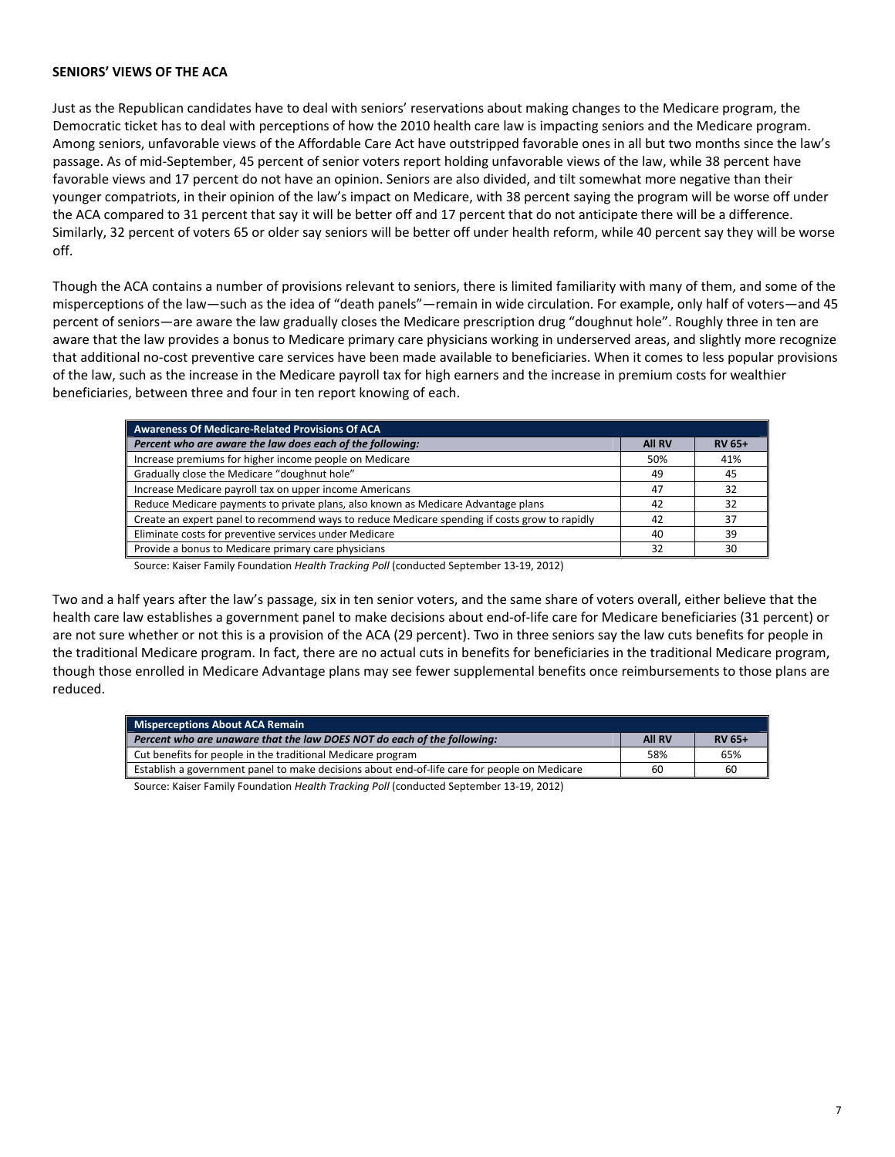#### **SENIORS' VIEWS OF THE ACA**

Just as the Republican candidates have to deal with seniors' reservations about making changes to the Medicare program, the Democratic ticket has to deal with perceptions of how the 2010 health care law is impacting seniors and the Medicare program. Among seniors, unfavorable views of the Affordable Care Act have outstripped favorable ones in all but two months since the law's passage. As of mid‐September, 45 percent of senior voters report holding unfavorable views of the law, while 38 percent have favorable views and 17 percent do not have an opinion. Seniors are also divided, and tilt somewhat more negative than their younger compatriots, in their opinion of the law's impact on Medicare, with 38 percent saying the program will be worse off under the ACA compared to 31 percent that say it will be better off and 17 percent that do not anticipate there will be a difference. Similarly, 32 percent of voters 65 or older say seniors will be better off under health reform, while 40 percent say they will be worse off.

Though the ACA contains a number of provisions relevant to seniors, there is limited familiarity with many of them, and some of the misperceptions of the law—such as the idea of "death panels"—remain in wide circulation. For example, only half of voters—and 45 percent of seniors—are aware the law gradually closes the Medicare prescription drug "doughnut hole". Roughly three in ten are aware that the law provides a bonus to Medicare primary care physicians working in underserved areas, and slightly more recognize that additional no‐cost preventive care services have been made available to beneficiaries. When it comes to less popular provisions of the law, such as the increase in the Medicare payroll tax for high earners and the increase in premium costs for wealthier beneficiaries, between three and four in ten report knowing of each.

| Awareness Of Medicare-Related Provisions Of ACA                                               |     |               |
|-----------------------------------------------------------------------------------------------|-----|---------------|
| Percent who are aware the law does each of the following:                                     |     | <b>RV 65+</b> |
| Increase premiums for higher income people on Medicare                                        | 50% | 41%           |
| Gradually close the Medicare "doughnut hole"                                                  | 49  | -45           |
| Increase Medicare payroll tax on upper income Americans                                       | 47  | 32            |
| Reduce Medicare payments to private plans, also known as Medicare Advantage plans             | 42  | 32            |
| Create an expert panel to recommend ways to reduce Medicare spending if costs grow to rapidly | 42  | 37            |
| Eliminate costs for preventive services under Medicare                                        | 40  | 39            |
| Provide a bonus to Medicare primary care physicians                                           | 32  | 30            |

Source: Kaiser Family Foundation *Health Tracking Poll* (conducted September 13‐19, 2012)

Two and a half years after the law's passage, six in ten senior voters, and the same share of voters overall, either believe that the health care law establishes a government panel to make decisions about end‐of‐life care for Medicare beneficiaries (31 percent) or are not sure whether or not this is a provision of the ACA (29 percent). Two in three seniors say the law cuts benefits for people in the traditional Medicare program. In fact, there are no actual cuts in benefits for beneficiaries in the traditional Medicare program, though those enrolled in Medicare Advantage plans may see fewer supplemental benefits once reimbursements to those plans are reduced.

| <b>All RV</b> | <b>RV 65+</b> |
|---------------|---------------|
| 58%           | 65%           |
| 60            | 60            |
|               |               |

Source: Kaiser Family Foundation *Health Tracking Poll* (conducted September 13‐19, 2012)